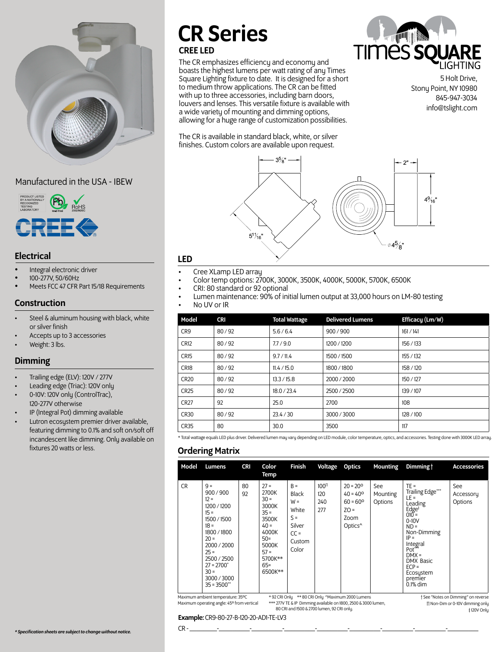

# Manufactured in the USA - IBEW



# LED Electrical

- Integral electronic driver
- 100-277V, 50/60Hz
- Meets FCC 47 CFR Part 15/18 Requirements

# Construction

- Steel & aluminum housing with black, white or silver finish
- Accepts up to 3 accessories
- Weight: 3 lbs.

# Dimming

- Trailing edge (ELV): 120V / 277V
- Leading edge (Triac): 120V only
- 0-10V: 120V only (ControlTrac), 120-277V otherwise
- IP (Integral Pot) dimming available
- Lutron ecosystem premier driver available, featuring dimming to 0.1% and soft on/soft off incandescent like dimming. Only available on fixtures 20 watts or less.

# CR Series

# CREE LED

The CR emphasizes efficiency and economy and boasts the highest lumens per watt rating of any Times Square Lighting fixture to date. It is designed for a short to medium throw applications. The CR can be fitted with up to three accessories, including barn doors, louvers and lenses. This versatile fixture is available with a wide variety of mounting and dimming options, allowing for a huge range of customization possibilities.

The CR is available in standard black, white, or silver finishes. Custom colors are available upon request.



5 Holt Drive, Stony Point, NY 10980 845-947-3034 info@tslight.com



- Cree XLamp LED array
- Color temp options: 2700K, 3000K, 3500K, 4000K, 5000K, 5700K, 6500K
- CRI: 80 standard or 92 optional
- Lumen maintenance: 90% of initial lumen output at 33,000 hours on LM-80 testing
- No UV or IR

| Model           | <b>CRI</b> | <b>Total Wattage</b> | <b>Delivered Lumens</b> | Efficacy (Lm/W) |
|-----------------|------------|----------------------|-------------------------|-----------------|
| CR <sub>9</sub> | 80/92      | 5.6/6.4              | 900/900                 | 161/141         |
| <b>CR12</b>     | 80/92      | 7.7/9.0              | 1200 / 1200             | 156 / 133       |
| <b>CR15</b>     | 80/92      | 9.7 / 11.4           | 1500 / 1500             | 155 / 132       |
| <b>CR18</b>     | 80/92      | 11.4 / 15.0          | 1800/1800               | 158 / 120       |
| <b>CR20</b>     | 80/92      | 13.3 / 15.8          | 2000 / 2000             | 150/127         |
| <b>CR25</b>     | 80/92      | 18.0 / 23.4          | 2500 / 2500             | 139 / 107       |
| <b>CR27</b>     | 92         | 25.0                 | 2700                    | 108             |
| <b>CR30</b>     | 80/92      | 23.4 / 30            | 3000/3000               | 128/100         |
| <b>CR35</b>     | 80         | 30.0                 | 3500                    | 117             |
|                 |            |                      |                         |                 |

\* Total wattage equals LED plus driver. Delivered lumen may vary depending on LED module, color temperature, optics, and accessories. Testing done with 3000K LED array.

# Ordering Matrix

| Model                                                                                                                                                                                                                                                                                                                                       | Lumens                                                                                                                                                                                                    | <b>CRI</b> | Color<br>Temp                                                                                                                         | <b>Finish</b>                                                                           | Voltage                               | <b>Optics</b>                                                                                        | <b>Mounting</b>            | Dimming t                                                                                                                                                                                                                        | <b>Accessories</b>          |
|---------------------------------------------------------------------------------------------------------------------------------------------------------------------------------------------------------------------------------------------------------------------------------------------------------------------------------------------|-----------------------------------------------------------------------------------------------------------------------------------------------------------------------------------------------------------|------------|---------------------------------------------------------------------------------------------------------------------------------------|-----------------------------------------------------------------------------------------|---------------------------------------|------------------------------------------------------------------------------------------------------|----------------------------|----------------------------------------------------------------------------------------------------------------------------------------------------------------------------------------------------------------------------------|-----------------------------|
| <b>CR</b>                                                                                                                                                                                                                                                                                                                                   | $9 =$<br>900 / 900<br>$12 =$<br>1200 / 1200<br>$15 =$<br>1500 / 1500<br>$18 =$<br>1800/1800<br>$20 =$<br>2000 / 2000<br>$25 =$<br>2500 / 2500<br>$27 = 2700^*$<br>$30 =$<br>3000/3000<br>$35 - 3500^{**}$ | 80<br>92   | $27 =$<br>2700K<br>$30 =$<br>3000K<br>$35 =$<br>3500K<br>$40 =$<br>4000K<br>$50 =$<br>5000K<br>$57 =$<br>5700K**<br>$65 =$<br>6500K** | $B =$<br><b>Black</b><br>$W =$<br>White<br>$S =$<br>Silver<br>$CC =$<br>Custom<br>Color | 100 <sup>π</sup><br>120<br>240<br>277 | $20 = 20^{\circ}$<br>$40 = 40^{\circ}$<br>$60 = 60^{\circ}$<br>$ZO =$<br>Zoom<br>Optics <sup>^</sup> | See<br>Mounting<br>Options | $TE =$<br>Trailing Edge***<br>$LE =$<br>Leading<br>$Edge^{\dagger}$<br>$010 =$<br>$0 - 10V$<br>$ND =$<br>Non-Dimming<br>$IP =$<br>Integral<br>$Port^*$<br>$DMX =$<br>DMX Basic<br>$ECP =$<br>Ecosystem<br>premier<br>$0.1\%$ dim | See<br>Accessory<br>Options |
| *92 CRI Only ** 80 CRI Only ^Maximum 2000 Lumens<br>† See "Notes on Dimming" on reverse<br>Maximum ambient temperature: 35°C<br>Maximum operating angle: 45° from vertical<br>*** 277V TE & IP Dimming available on 1800, 2500 & 3000 lumen,<br>∏ Non-Dim or 0-10V dimming only<br>80 CRI and 1500 & 2700 lumen, 92 CRI only.<br>±120V Onlu |                                                                                                                                                                                                           |            |                                                                                                                                       |                                                                                         |                                       |                                                                                                      |                            |                                                                                                                                                                                                                                  |                             |

#### Example: CR9-80-27-B-120-20-AD1-TE-LV3

CR - \_\_\_\_\_\_\_\_-\_\_\_\_\_\_\_\_\_-\_\_\_\_\_\_\_\_\_-\_\_\_\_\_\_\_\_\_-\_\_\_\_\_\_\_\_\_-\_\_\_\_\_\_\_\_\_-\_\_\_\_\_\_\_\_\_-\_\_\_\_\_\_\_\_\_-\_\_\_\_\_\_\_\_\_